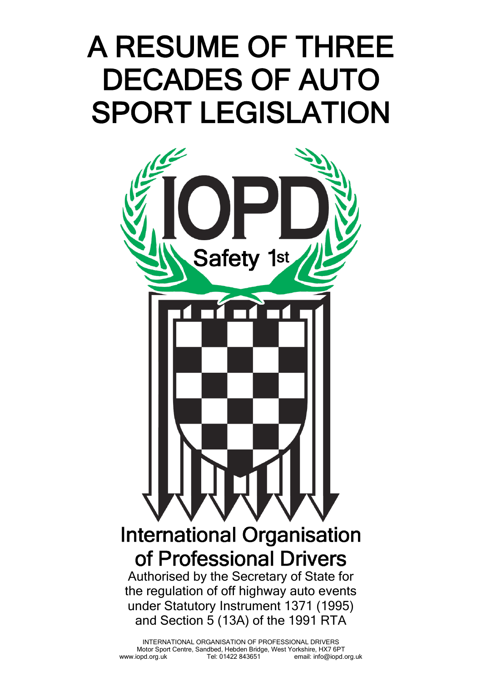## A RESUME OF THREE DECADES OF AUTO SPORT LEGISLATION

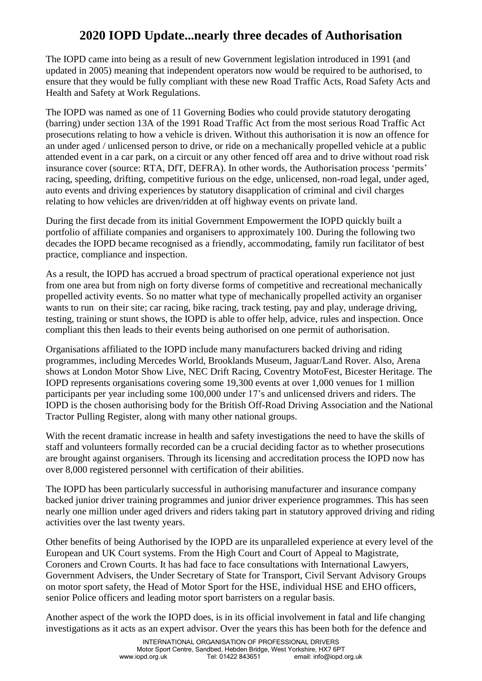## **2020 IOPD Update...nearly three decades of Authorisation**

The IOPD came into being as a result of new Government legislation introduced in 1991 (and updated in 2005) meaning that independent operators now would be required to be authorised, to ensure that they would be fully compliant with these new Road Traffic Acts, Road Safety Acts and Health and Safety at Work Regulations.

The IOPD was named as one of 11 Governing Bodies who could provide statutory derogating (barring) under section 13A of the 1991 Road Traffic Act from the most serious Road Traffic Act prosecutions relating to how a vehicle is driven. Without this authorisation it is now an offence for an under aged / unlicensed person to drive, or ride on a mechanically propelled vehicle at a public attended event in a car park, on a circuit or any other fenced off area and to drive without road risk insurance cover (source: RTA, DfT, DEFRA). In other words, the Authorisation process 'permits' racing, speeding, drifting, competitive furious on the edge, unlicensed, non-road legal, under aged, auto events and driving experiences by statutory disapplication of criminal and civil charges relating to how vehicles are driven/ridden at off highway events on private land.

During the first decade from its initial Government Empowerment the IOPD quickly built a portfolio of affiliate companies and organisers to approximately 100. During the following two decades the IOPD became recognised as a friendly, accommodating, family run facilitator of best practice, compliance and inspection.

As a result, the IOPD has accrued a broad spectrum of practical operational experience not just from one area but from nigh on forty diverse forms of competitive and recreational mechanically propelled activity events. So no matter what type of mechanically propelled activity an organiser wants to run on their site; car racing, bike racing, track testing, pay and play, underage driving, testing, training or stunt shows, the IOPD is able to offer help, advice, rules and inspection. Once compliant this then leads to their events being authorised on one permit of authorisation.

Organisations affiliated to the IOPD include many manufacturers backed driving and riding programmes, including Mercedes World, Brooklands Museum, Jaguar/Land Rover. Also, Arena shows at London Motor Show Live, NEC Drift Racing, Coventry MotoFest, Bicester Heritage. The IOPD represents organisations covering some 19,300 events at over 1,000 venues for 1 million participants per year including some 100,000 under 17's and unlicensed drivers and riders. The IOPD is the chosen authorising body for the British Off-Road Driving Association and the National Tractor Pulling Register, along with many other national groups.

With the recent dramatic increase in health and safety investigations the need to have the skills of staff and volunteers formally recorded can be a crucial deciding factor as to whether prosecutions are brought against organisers. Through its licensing and accreditation process the IOPD now has over 8,000 registered personnel with certification of their abilities.

The IOPD has been particularly successful in authorising manufacturer and insurance company backed junior driver training programmes and junior driver experience programmes. This has seen nearly one million under aged drivers and riders taking part in statutory approved driving and riding activities over the last twenty years.

Other benefits of being Authorised by the IOPD are its unparalleled experience at every level of the European and UK Court systems. From the High Court and Court of Appeal to Magistrate, Coroners and Crown Courts. It has had face to face consultations with International Lawyers, Government Advisers, the Under Secretary of State for Transport, Civil Servant Advisory Groups on motor sport safety, the Head of Motor Sport for the HSE, individual HSE and EHO officers, senior Police officers and leading motor sport barristers on a regular basis.

Another aspect of the work the IOPD does, is in its official involvement in fatal and life changing investigations as it acts as an expert advisor. Over the years this has been both for the defence and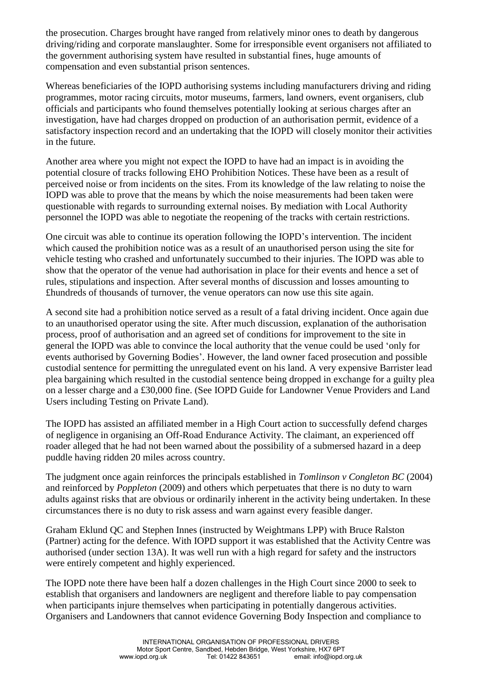the prosecution. Charges brought have ranged from relatively minor ones to death by dangerous driving/riding and corporate manslaughter. Some for irresponsible event organisers not affiliated to the government authorising system have resulted in substantial fines, huge amounts of compensation and even substantial prison sentences.

Whereas beneficiaries of the IOPD authorising systems including manufacturers driving and riding programmes, motor racing circuits, motor museums, farmers, land owners, event organisers, club officials and participants who found themselves potentially looking at serious charges after an investigation, have had charges dropped on production of an authorisation permit, evidence of a satisfactory inspection record and an undertaking that the IOPD will closely monitor their activities in the future.

Another area where you might not expect the IOPD to have had an impact is in avoiding the potential closure of tracks following EHO Prohibition Notices. These have been as a result of perceived noise or from incidents on the sites. From its knowledge of the law relating to noise the IOPD was able to prove that the means by which the noise measurements had been taken were questionable with regards to surrounding external noises. By mediation with Local Authority personnel the IOPD was able to negotiate the reopening of the tracks with certain restrictions.

One circuit was able to continue its operation following the IOPD's intervention. The incident which caused the prohibition notice was as a result of an unauthorised person using the site for vehicle testing who crashed and unfortunately succumbed to their injuries. The IOPD was able to show that the operator of the venue had authorisation in place for their events and hence a set of rules, stipulations and inspection. After several months of discussion and losses amounting to £hundreds of thousands of turnover, the venue operators can now use this site again.

A second site had a prohibition notice served as a result of a fatal driving incident. Once again due to an unauthorised operator using the site. After much discussion, explanation of the authorisation process, proof of authorisation and an agreed set of conditions for improvement to the site in general the IOPD was able to convince the local authority that the venue could be used 'only for events authorised by Governing Bodies'. However, the land owner faced prosecution and possible custodial sentence for permitting the unregulated event on his land. A very expensive Barrister lead plea bargaining which resulted in the custodial sentence being dropped in exchange for a guilty plea on a lesser charge and a £30,000 fine. (See IOPD Guide for Landowner Venue Providers and Land Users including Testing on Private Land).

The IOPD has assisted an affiliated member in a High Court action to successfully defend charges of negligence in organising an Off-Road Endurance Activity. The claimant, an experienced off roader alleged that he had not been warned about the possibility of a submersed hazard in a deep puddle having ridden 20 miles across country.

The judgment once again reinforces the principals established in *Tomlinson v Congleton BC* (2004) and reinforced by *Poppleton* (2009) and others which perpetuates that there is no duty to warn adults against risks that are obvious or ordinarily inherent in the activity being undertaken. In these circumstances there is no duty to risk assess and warn against every feasible danger.

Graham Eklund QC and Stephen Innes (instructed by Weightmans LPP) with Bruce Ralston (Partner) acting for the defence. With IOPD support it was established that the Activity Centre was authorised (under section 13A). It was well run with a high regard for safety and the instructors were entirely competent and highly experienced.

The IOPD note there have been half a dozen challenges in the High Court since 2000 to seek to establish that organisers and landowners are negligent and therefore liable to pay compensation when participants injure themselves when participating in potentially dangerous activities. Organisers and Landowners that cannot evidence Governing Body Inspection and compliance to